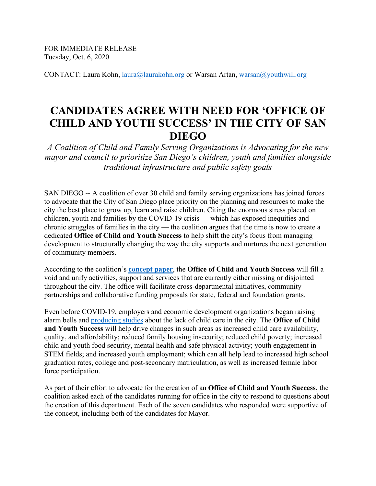FOR IMMEDIATE RELEASE Tuesday, Oct. 6, 2020

CONTACT: Laura Kohn, [laura@laurakohn.org](mailto:laura@laurakohn.org) or Warsan Artan, [warsan@youthwill.org](mailto:warsan@youthwill.org)

# **CANDIDATES AGREE WITH NEED FOR 'OFFICE OF CHILD AND YOUTH SUCCESS' IN THE CITY OF SAN DIEGO**

*A Coalition of Child and Family Serving Organizations is Advocating for the new mayor and council to prioritize San Diego's children, youth and families alongside traditional infrastructure and public safety goals*

SAN DIEGO -- A coalition of over 30 child and family serving organizations has joined forces to advocate that the City of San Diego place priority on the planning and resources to make the city the best place to grow up, learn and raise children. Citing the enormous stress placed on children, youth and families by the COVID-19 crisis — which has exposed inequities and chronic struggles of families in the city — the coalition argues that the time is now to create a dedicated **Office of Child and Youth Success** to help shift the city's focus from managing development to structurally changing the way the city supports and nurtures the next generation of community members.

According to the coalition's **[concept paper](https://www.sandiegoforeverychild.org/wp-content/uploads/2020/09/CYS-Concept-Paper_Final_a-1.pdf)**, the **Office of Child and Youth Success** will fill a void and unify activities, support and services that are currently either missing or disjointed throughout the city. The office will facilitate cross-departmental initiatives, community partnerships and collaborative funding proposals for state, federal and foundation grants.

Even before COVID-19, employers and economic development organizations began raising alarm bells and [producing studies](https://childcare.workforce.org/) about the lack of child care in the city. The **Office of Child and Youth Success** will help drive changes in such areas as increased child care availability, quality, and affordability; reduced family housing insecurity; reduced child poverty; increased child and youth food security, mental health and safe physical activity; youth engagement in STEM fields; and increased youth employment; which can all help lead to increased high school graduation rates, college and post-secondary matriculation, as well as increased female labor force participation.

As part of their effort to advocate for the creation of an **Office of Child and Youth Success,** the coalition asked each of the candidates running for office in the city to respond to questions about the creation of this department. Each of the seven candidates who responded were supportive of the concept, including both of the candidates for Mayor.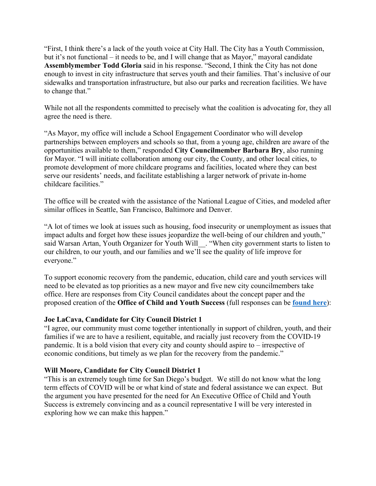"First, I think there's a lack of the youth voice at City Hall. The City has a Youth Commission, but it's not functional – it needs to be, and I will change that as Mayor," mayoral candidate **Assemblymember Todd Gloria** said in his response. "Second, I think the City has not done enough to invest in city infrastructure that serves youth and their families. That's inclusive of our sidewalks and transportation infrastructure, but also our parks and recreation facilities. We have to change that."

While not all the respondents committed to precisely what the coalition is advocating for, they all agree the need is there.

"As Mayor, my office will include a School Engagement Coordinator who will develop partnerships between employers and schools so that, from a young age, children are aware of the opportunities available to them," responded **City Councilmember Barbara Bry**, also running for Mayor. "I will initiate collaboration among our city, the County, and other local cities, to promote development of more childcare programs and facilities, located where they can best serve our residents' needs, and facilitate establishing a larger network of private in-home childcare facilities."

The office will be created with the assistance of the National League of Cities, and modeled after similar offices in Seattle, San Francisco, Baltimore and Denver.

"A lot of times we look at issues such as housing, food insecurity or unemployment as issues that impact adults and forget how these issues jeopardize the well-being of our children and youth," said Warsan Artan, Youth Organizer for Youth Will\_\_. "When city government starts to listen to our children, to our youth, and our families and we'll see the quality of life improve for everyone."

To support economic recovery from the pandemic, education, child care and youth services will need to be elevated as top priorities as a new mayor and five new city councilmembers take office. Here are responses from City Council candidates about the concept paper and the proposed creation of the **Office of Child and Youth Success** (full responses can be **[found here](https://www.sandiegoforeverychild.org/office-of-child-and-youth-success/)**):

# **Joe LaCava, Candidate for City Council District 1**

"I agree, our community must come together intentionally in support of children, youth, and their families if we are to have a resilient, equitable, and racially just recovery from the COVID-19 pandemic. It is a bold vision that every city and county should aspire to – irrespective of economic conditions, but timely as we plan for the recovery from the pandemic."

### **Will Moore, Candidate for City Council District 1**

"This is an extremely tough time for San Diego's budget. We still do not know what the long term effects of COVID will be or what kind of state and federal assistance we can expect. But the argument you have presented for the need for An Executive Office of Child and Youth Success is extremely convincing and as a council representative I will be very interested in exploring how we can make this happen."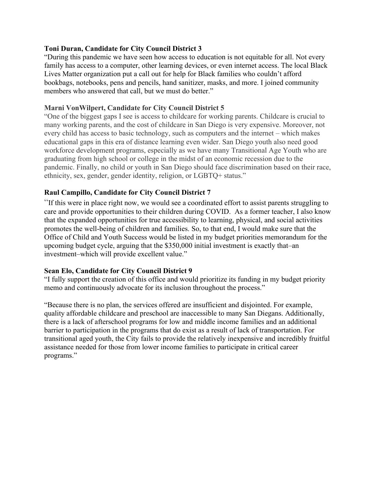## **Toni Duran, Candidate for City Council District 3**

"During this pandemic we have seen how access to education is not equitable for all. Not every family has access to a computer, other learning devices, or even internet access. The local Black Lives Matter organization put a call out for help for Black families who couldn't afford bookbags, notebooks, pens and pencils, hand sanitizer, masks, and more. I joined community members who answered that call, but we must do better."

## **Marni VonWilpert, Candidate for City Council District 5**

"One of the biggest gaps I see is access to childcare for working parents. Childcare is crucial to many working parents, and the cost of childcare in San Diego is very expensive. Moreover, not every child has access to basic technology, such as computers and the internet – which makes educational gaps in this era of distance learning even wider. San Diego youth also need good workforce development programs, especially as we have many Transitional Age Youth who are graduating from high school or college in the midst of an economic recession due to the pandemic. Finally, no child or youth in San Diego should face discrimination based on their race, ethnicity, sex, gender, gender identity, religion, or LGBTQ+ status."

# **Raul Campillo, Candidate for City Council District 7**

"If this were in place right now, we would see a coordinated effort to assist parents struggling to care and provide opportunities to their children during COVID. As a former teacher, I also know that the expanded opportunities for true accessibility to learning, physical, and social activities promotes the well-being of children and families. So, to that end, I would make sure that the Office of Child and Youth Success would be listed in my budget priorities memorandum for the upcoming budget cycle, arguing that the \$350,000 initial investment is exactly that–an investment–which will provide excellent value."

### **Sean Elo, Candidate for City Council District 9**

"I fully support the creation of this office and would prioritize its funding in my budget priority memo and continuously advocate for its inclusion throughout the process."

"Because there is no plan, the services offered are insufficient and disjointed. For example, quality affordable childcare and preschool are inaccessible to many San Diegans. Additionally, there is a lack of afterschool programs for low and middle income families and an additional barrier to participation in the programs that do exist as a result of lack of transportation. For transitional aged youth, the City fails to provide the relatively inexpensive and incredibly fruitful assistance needed for those from lower income families to participate in critical career programs."